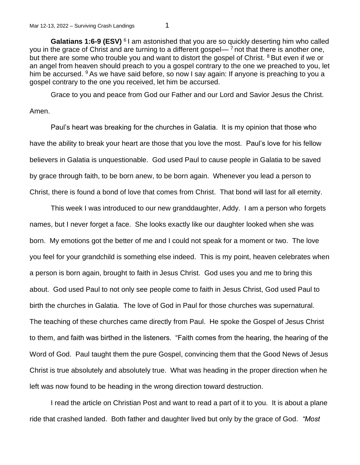**Galatians 1:6-9 (ESV)** <sup>6</sup> I am astonished that you are so quickly deserting him who called you in the grace of Christ and are turning to a different gospel— $\frac{7}{7}$  not that there is another one, but there are some who trouble you and want to distort the gospel of Christ. <sup>8</sup> But even if we or an angel from heaven should preach to you a gospel contrary to the one we preached to you, let him be accursed.  $9$  As we have said before, so now I say again: If anyone is preaching to you a gospel contrary to the one you received, let him be accursed.

Grace to you and peace from God our Father and our Lord and Savior Jesus the Christ.

## Amen.

Paul's heart was breaking for the churches in Galatia. It is my opinion that those who have the ability to break your heart are those that you love the most. Paul's love for his fellow believers in Galatia is unquestionable. God used Paul to cause people in Galatia to be saved by grace through faith, to be born anew, to be born again. Whenever you lead a person to Christ, there is found a bond of love that comes from Christ. That bond will last for all eternity.

This week I was introduced to our new granddaughter, Addy. I am a person who forgets names, but I never forget a face. She looks exactly like our daughter looked when she was born. My emotions got the better of me and I could not speak for a moment or two. The love you feel for your grandchild is something else indeed. This is my point, heaven celebrates when a person is born again, brought to faith in Jesus Christ. God uses you and me to bring this about. God used Paul to not only see people come to faith in Jesus Christ, God used Paul to birth the churches in Galatia. The love of God in Paul for those churches was supernatural. The teaching of these churches came directly from Paul. He spoke the Gospel of Jesus Christ to them, and faith was birthed in the listeners. "Faith comes from the hearing, the hearing of the Word of God. Paul taught them the pure Gospel, convincing them that the Good News of Jesus Christ is true absolutely and absolutely true. What was heading in the proper direction when he left was now found to be heading in the wrong direction toward destruction.

I read the article on Christian Post and want to read a part of it to you. It is about a plane ride that crashed landed. Both father and daughter lived but only by the grace of God. *"Most*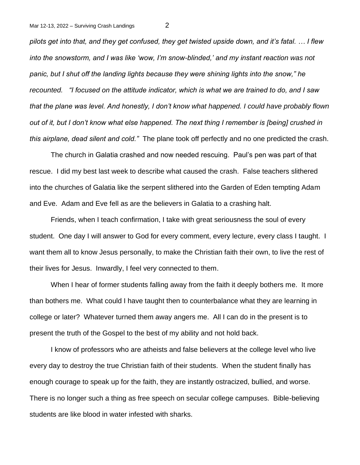*pilots get into that, and they get confused, they get twisted upside down, and it's fatal. … I flew into the snowstorm, and I was like 'wow, I'm snow-blinded,' and my instant reaction was not panic, but I shut off the landing lights because they were shining lights into the snow," he recounted. "I focused on the attitude indicator, which is what we are trained to do, and I saw that the plane was level. And honestly, I don't know what happened. I could have probably flown out of it, but I don't know what else happened. The next thing I remember is [being] crushed in this airplane, dead silent and cold."* The plane took off perfectly and no one predicted the crash.

The church in Galatia crashed and now needed rescuing. Paul's pen was part of that rescue. I did my best last week to describe what caused the crash. False teachers slithered into the churches of Galatia like the serpent slithered into the Garden of Eden tempting Adam and Eve. Adam and Eve fell as are the believers in Galatia to a crashing halt.

Friends, when I teach confirmation, I take with great seriousness the soul of every student. One day I will answer to God for every comment, every lecture, every class I taught. I want them all to know Jesus personally, to make the Christian faith their own, to live the rest of their lives for Jesus. Inwardly, I feel very connected to them.

When I hear of former students falling away from the faith it deeply bothers me. It more than bothers me. What could I have taught then to counterbalance what they are learning in college or later? Whatever turned them away angers me. All I can do in the present is to present the truth of the Gospel to the best of my ability and not hold back.

I know of professors who are atheists and false believers at the college level who live every day to destroy the true Christian faith of their students. When the student finally has enough courage to speak up for the faith, they are instantly ostracized, bullied, and worse. There is no longer such a thing as free speech on secular college campuses. Bible-believing students are like blood in water infested with sharks.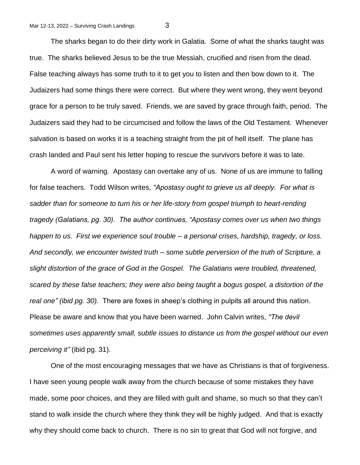The sharks began to do their dirty work in Galatia. Some of what the sharks taught was true. The sharks believed Jesus to be the true Messiah, crucified and risen from the dead. False teaching always has some truth to it to get you to listen and then bow down to it. The Judaizers had some things there were correct. But where they went wrong, they went beyond grace for a person to be truly saved. Friends, we are saved by grace through faith, period. The Judaizers said they had to be circumcised and follow the laws of the Old Testament. Whenever salvation is based on works it is a teaching straight from the pit of hell itself. The plane has crash landed and Paul sent his letter hoping to rescue the survivors before it was to late.

A word of warning. Apostasy can overtake any of us. None of us are immune to falling for false teachers. Todd Wilson writes*, "Apostasy ought to grieve us all deeply. For what is sadder than for someone to turn his or her life-story from gospel triumph to heart-rending tragedy (Galatians, pg. 30). The author continues, "Apostasy comes over us when two things happen to us. First we experience soul trouble – a personal crises, hardship, tragedy, or loss. And secondly, we encounter twisted truth – some subtle perversion of the truth of Scripture, a slight distortion of the grace of God in the Gospel. The Galatians were troubled, threatened, scared by these false teachers; they were also being taught a bogus gospel, a distortion of the real one" (ibid pg. 30).* There are foxes in sheep's clothing in pulpits all around this nation. Please be aware and know that you have been warned. John Calvin writes, *"The devil sometimes uses apparently small, subtle issues to distance us from the gospel without our even perceiving it"* (ibid pg. 31).

One of the most encouraging messages that we have as Christians is that of forgiveness. I have seen young people walk away from the church because of some mistakes they have made, some poor choices, and they are filled with guilt and shame, so much so that they can't stand to walk inside the church where they think they will be highly judged. And that is exactly why they should come back to church. There is no sin to great that God will not forgive, and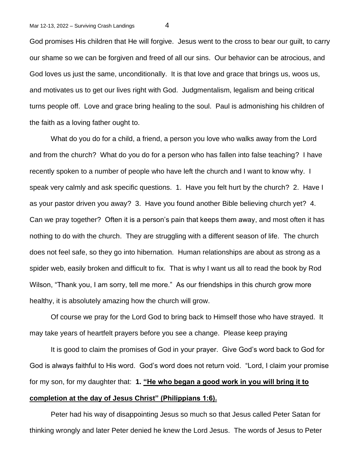God promises His children that He will forgive. Jesus went to the cross to bear our guilt, to carry our shame so we can be forgiven and freed of all our sins. Our behavior can be atrocious, and God loves us just the same, unconditionally. It is that love and grace that brings us, woos us, and motivates us to get our lives right with God. Judgmentalism, legalism and being critical turns people off. Love and grace bring healing to the soul. Paul is admonishing his children of the faith as a loving father ought to.

What do you do for a child, a friend, a person you love who walks away from the Lord and from the church? What do you do for a person who has fallen into false teaching? I have recently spoken to a number of people who have left the church and I want to know why. I speak very calmly and ask specific questions. 1. Have you felt hurt by the church? 2. Have I as your pastor driven you away? 3. Have you found another Bible believing church yet? 4. Can we pray together? Often it is a person's pain that keeps them away, and most often it has nothing to do with the church. They are struggling with a different season of life. The church does not feel safe, so they go into hibernation. Human relationships are about as strong as a spider web, easily broken and difficult to fix. That is why I want us all to read the book by Rod Wilson, "Thank you, I am sorry, tell me more." As our friendships in this church grow more healthy, it is absolutely amazing how the church will grow.

Of course we pray for the Lord God to bring back to Himself those who have strayed. It may take years of heartfelt prayers before you see a change. Please keep praying

It is good to claim the promises of God in your prayer. Give God's word back to God for God is always faithful to His word. God's word does not return void. "Lord, I claim your promise for my son, for my daughter that: **1. "He who began a good work in you will bring it to completion at the day of Jesus Christ" (Philippians 1:6).** 

Peter had his way of disappointing Jesus so much so that Jesus called Peter Satan for thinking wrongly and later Peter denied he knew the Lord Jesus. The words of Jesus to Peter